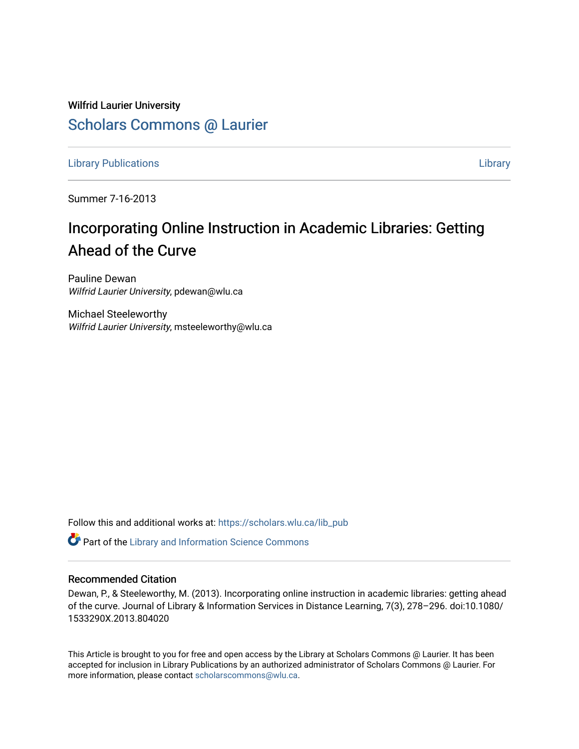Wilfrid Laurier University [Scholars Commons @ Laurier](https://scholars.wlu.ca/)

[Library Publications](https://scholars.wlu.ca/lib_pub) [Library](https://scholars.wlu.ca/lib) 

Summer 7-16-2013

# Incorporating Online Instruction in Academic Libraries: Getting Ahead of the Curve

Pauline Dewan Wilfrid Laurier University, pdewan@wlu.ca

Michael Steeleworthy Wilfrid Laurier University, msteeleworthy@wlu.ca

Follow this and additional works at: [https://scholars.wlu.ca/lib\\_pub](https://scholars.wlu.ca/lib_pub?utm_source=scholars.wlu.ca%2Flib_pub%2F28&utm_medium=PDF&utm_campaign=PDFCoverPages)

Part of the [Library and Information Science Commons](http://network.bepress.com/hgg/discipline/1018?utm_source=scholars.wlu.ca%2Flib_pub%2F28&utm_medium=PDF&utm_campaign=PDFCoverPages) 

# Recommended Citation

Dewan, P., & Steeleworthy, M. (2013). Incorporating online instruction in academic libraries: getting ahead of the curve. Journal of Library & Information Services in Distance Learning, 7(3), 278–296. doi:10.1080/ 1533290X.2013.804020

This Article is brought to you for free and open access by the Library at Scholars Commons @ Laurier. It has been accepted for inclusion in Library Publications by an authorized administrator of Scholars Commons @ Laurier. For more information, please contact [scholarscommons@wlu.ca](mailto:scholarscommons@wlu.ca).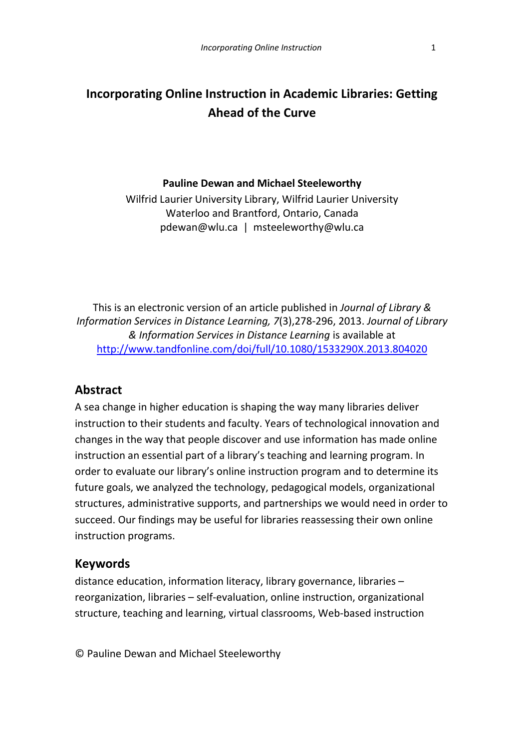# **Incorporating Online Instruction in Academic Libraries: Getting Ahead of the Curve**

#### **Pauline Dewan and Michael Steeleworthy**

Wilfrid Laurier University Library, Wilfrid Laurier University Waterloo and Brantford, Ontario, Canada pdewan@wlu.ca | msteeleworthy@wlu.ca

This is an electronic version of an article published in *Journal of Library & Information Services in Distance Learning, 7*(3),278-296, 2013. *Journal of Library & Information Services in Distance Learning* is available at <http://www.tandfonline.com/doi/full/10.1080/1533290X.2013.804020>

# **Abstract**

A sea change in higher education is shaping the way many libraries deliver instruction to their students and faculty. Years of technological innovation and changes in the way that people discover and use information has made online instruction an essential part of a library's teaching and learning program. In order to evaluate our library's online instruction program and to determine its future goals, we analyzed the technology, pedagogical models, organizational structures, administrative supports, and partnerships we would need in order to succeed. Our findings may be useful for libraries reassessing their own online instruction programs.

#### **Keywords**

distance education, information literacy, library governance, libraries – reorganization, libraries – self-evaluation, online instruction, organizational structure, teaching and learning, virtual classrooms, Web-based instruction

© Pauline Dewan and Michael Steeleworthy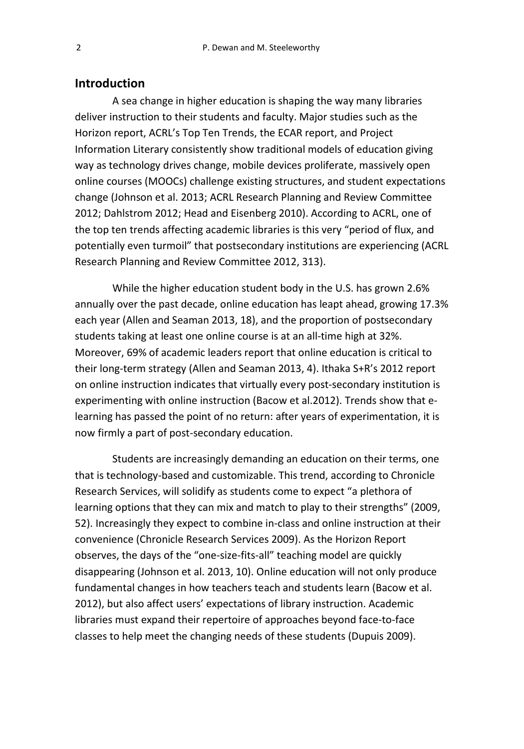## **Introduction**

A sea change in higher education is shaping the way many libraries deliver instruction to their students and faculty. Major studies such as the Horizon report, ACRL's Top Ten Trends, the ECAR report, and Project Information Literary consistently show traditional models of education giving way as technology drives change, mobile devices proliferate, massively open online courses (MOOCs) challenge existing structures, and student expectations change (Johnson et al. 2013; ACRL Research Planning and Review Committee 2012; Dahlstrom 2012; Head and Eisenberg 2010). According to ACRL, one of the top ten trends affecting academic libraries is this very "period of flux, and potentially even turmoil" that postsecondary institutions are experiencing (ACRL Research Planning and Review Committee 2012, 313).

While the higher education student body in the U.S. has grown 2.6% annually over the past decade, online education has leapt ahead, growing 17.3% each year (Allen and Seaman 2013, 18), and the proportion of postsecondary students taking at least one online course is at an all-time high at 32%. Moreover, 69% of academic leaders report that online education is critical to their long-term strategy (Allen and Seaman 2013, 4). Ithaka S+R's 2012 report on online instruction indicates that virtually every post-secondary institution is experimenting with online instruction (Bacow et al.2012). Trends show that elearning has passed the point of no return: after years of experimentation, it is now firmly a part of post-secondary education.

Students are increasingly demanding an education on their terms, one that is technology-based and customizable. This trend, according to Chronicle Research Services, will solidify as students come to expect "a plethora of learning options that they can mix and match to play to their strengths" (2009, 52). Increasingly they expect to combine in-class and online instruction at their convenience (Chronicle Research Services 2009). As the Horizon Report observes, the days of the "one-size-fits-all" teaching model are quickly disappearing (Johnson et al. 2013, 10). Online education will not only produce fundamental changes in how teachers teach and students learn (Bacow et al. 2012), but also affect users' expectations of library instruction. Academic libraries must expand their repertoire of approaches beyond face-to-face classes to help meet the changing needs of these students (Dupuis 2009).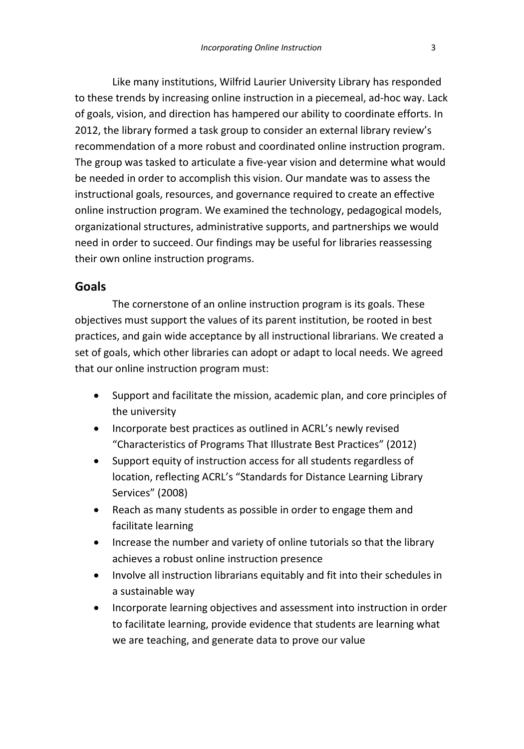Like many institutions, Wilfrid Laurier University Library has responded to these trends by increasing online instruction in a piecemeal, ad-hoc way. Lack of goals, vision, and direction has hampered our ability to coordinate efforts. In 2012, the library formed a task group to consider an external library review's recommendation of a more robust and coordinated online instruction program. The group was tasked to articulate a five-year vision and determine what would be needed in order to accomplish this vision. Our mandate was to assess the instructional goals, resources, and governance required to create an effective online instruction program. We examined the technology, pedagogical models, organizational structures, administrative supports, and partnerships we would need in order to succeed. Our findings may be useful for libraries reassessing their own online instruction programs.

# **Goals**

The cornerstone of an online instruction program is its goals. These objectives must support the values of its parent institution, be rooted in best practices, and gain wide acceptance by all instructional librarians. We created a set of goals, which other libraries can adopt or adapt to local needs. We agreed that our online instruction program must:

- Support and facilitate the mission, academic plan, and core principles of the university
- Incorporate best practices as outlined in ACRL's newly revised "Characteristics of Programs That Illustrate Best Practices" (2012)
- Support equity of instruction access for all students regardless of location, reflecting ACRL's "Standards for Distance Learning Library Services" (2008)
- Reach as many students as possible in order to engage them and facilitate learning
- Increase the number and variety of online tutorials so that the library achieves a robust online instruction presence
- Involve all instruction librarians equitably and fit into their schedules in a sustainable way
- Incorporate learning objectives and assessment into instruction in order to facilitate learning, provide evidence that students are learning what we are teaching, and generate data to prove our value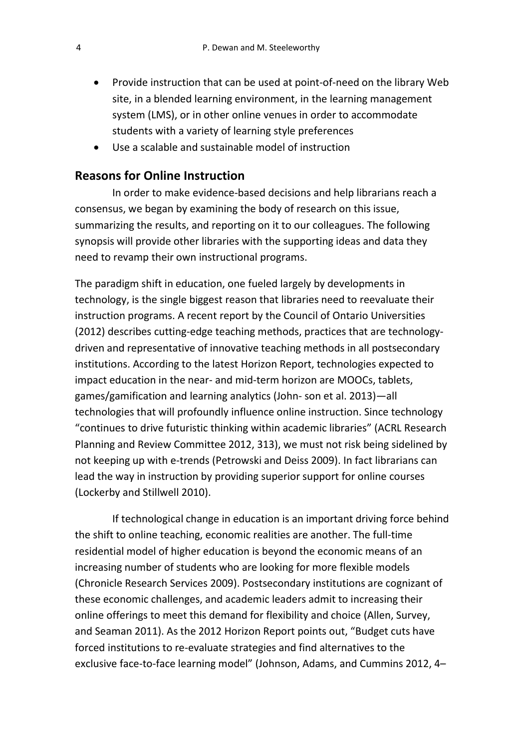- Provide instruction that can be used at point-of-need on the library Web site, in a blended learning environment, in the learning management system (LMS), or in other online venues in order to accommodate students with a variety of learning style preferences
- Use a scalable and sustainable model of instruction

# **Reasons for Online Instruction**

In order to make evidence-based decisions and help librarians reach a consensus, we began by examining the body of research on this issue, summarizing the results, and reporting on it to our colleagues. The following synopsis will provide other libraries with the supporting ideas and data they need to revamp their own instructional programs.

The paradigm shift in education, one fueled largely by developments in technology, is the single biggest reason that libraries need to reevaluate their instruction programs. A recent report by the Council of Ontario Universities (2012) describes cutting-edge teaching methods, practices that are technologydriven and representative of innovative teaching methods in all postsecondary institutions. According to the latest Horizon Report, technologies expected to impact education in the near- and mid-term horizon are MOOCs, tablets, games/gamification and learning analytics (John- son et al. 2013)—all technologies that will profoundly influence online instruction. Since technology "continues to drive futuristic thinking within academic libraries" (ACRL Research Planning and Review Committee 2012, 313), we must not risk being sidelined by not keeping up with e-trends (Petrowski and Deiss 2009). In fact librarians can lead the way in instruction by providing superior support for online courses (Lockerby and Stillwell 2010).

If technological change in education is an important driving force behind the shift to online teaching, economic realities are another. The full-time residential model of higher education is beyond the economic means of an increasing number of students who are looking for more flexible models (Chronicle Research Services 2009). Postsecondary institutions are cognizant of these economic challenges, and academic leaders admit to increasing their online offerings to meet this demand for flexibility and choice (Allen, Survey, and Seaman 2011). As the 2012 Horizon Report points out, "Budget cuts have forced institutions to re-evaluate strategies and find alternatives to the exclusive face-to-face learning model" (Johnson, Adams, and Cummins 2012, 4–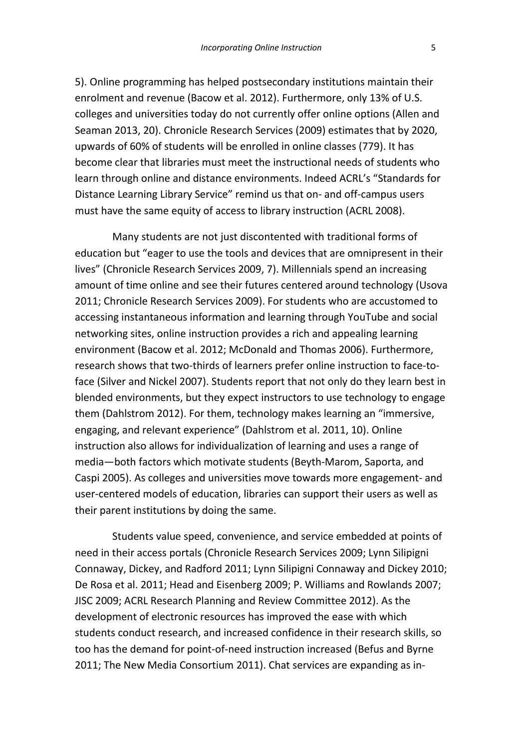5). Online programming has helped postsecondary institutions maintain their enrolment and revenue (Bacow et al. 2012). Furthermore, only 13% of U.S. colleges and universities today do not currently offer online options (Allen and Seaman 2013, 20). Chronicle Research Services (2009) estimates that by 2020, upwards of 60% of students will be enrolled in online classes (779). It has become clear that libraries must meet the instructional needs of students who learn through online and distance environments. Indeed ACRL's "Standards for Distance Learning Library Service" remind us that on- and off-campus users must have the same equity of access to library instruction (ACRL 2008).

Many students are not just discontented with traditional forms of education but "eager to use the tools and devices that are omnipresent in their lives" (Chronicle Research Services 2009, 7). Millennials spend an increasing amount of time online and see their futures centered around technology (Usova 2011; Chronicle Research Services 2009). For students who are accustomed to accessing instantaneous information and learning through YouTube and social networking sites, online instruction provides a rich and appealing learning environment (Bacow et al. 2012; McDonald and Thomas 2006). Furthermore, research shows that two-thirds of learners prefer online instruction to face-toface (Silver and Nickel 2007). Students report that not only do they learn best in blended environments, but they expect instructors to use technology to engage them (Dahlstrom 2012). For them, technology makes learning an "immersive, engaging, and relevant experience" (Dahlstrom et al. 2011, 10). Online instruction also allows for individualization of learning and uses a range of media—both factors which motivate students (Beyth-Marom, Saporta, and Caspi 2005). As colleges and universities move towards more engagement- and user-centered models of education, libraries can support their users as well as their parent institutions by doing the same.

Students value speed, convenience, and service embedded at points of need in their access portals (Chronicle Research Services 2009; Lynn Silipigni Connaway, Dickey, and Radford 2011; Lynn Silipigni Connaway and Dickey 2010; De Rosa et al. 2011; Head and Eisenberg 2009; P. Williams and Rowlands 2007; JISC 2009; ACRL Research Planning and Review Committee 2012). As the development of electronic resources has improved the ease with which students conduct research, and increased confidence in their research skills, so too has the demand for point-of-need instruction increased (Befus and Byrne 2011; The New Media Consortium 2011). Chat services are expanding as in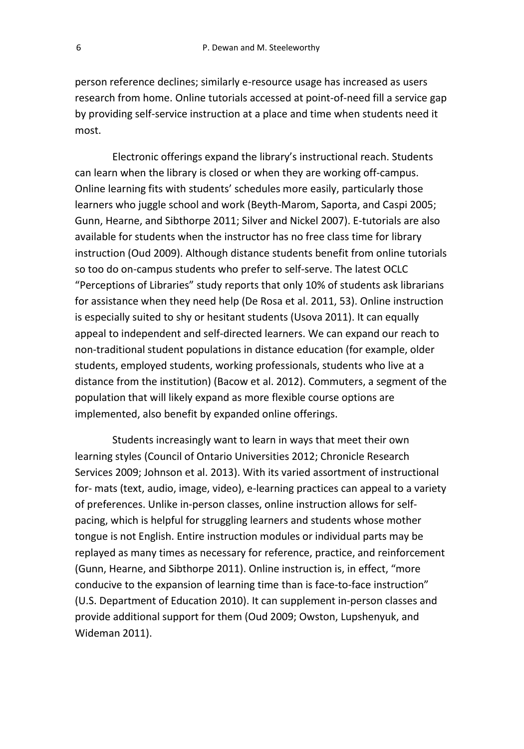person reference declines; similarly e-resource usage has increased as users research from home. Online tutorials accessed at point-of-need fill a service gap by providing self-service instruction at a place and time when students need it most.

Electronic offerings expand the library's instructional reach. Students can learn when the library is closed or when they are working off-campus. Online learning fits with students' schedules more easily, particularly those learners who juggle school and work (Beyth-Marom, Saporta, and Caspi 2005; Gunn, Hearne, and Sibthorpe 2011; Silver and Nickel 2007). E-tutorials are also available for students when the instructor has no free class time for library instruction (Oud 2009). Although distance students benefit from online tutorials so too do on-campus students who prefer to self-serve. The latest OCLC "Perceptions of Libraries" study reports that only 10% of students ask librarians for assistance when they need help (De Rosa et al. 2011, 53). Online instruction is especially suited to shy or hesitant students (Usova 2011). It can equally appeal to independent and self-directed learners. We can expand our reach to non-traditional student populations in distance education (for example, older students, employed students, working professionals, students who live at a distance from the institution) (Bacow et al. 2012). Commuters, a segment of the population that will likely expand as more flexible course options are implemented, also benefit by expanded online offerings.

Students increasingly want to learn in ways that meet their own learning styles (Council of Ontario Universities 2012; Chronicle Research Services 2009; Johnson et al. 2013). With its varied assortment of instructional for- mats (text, audio, image, video), e-learning practices can appeal to a variety of preferences. Unlike in-person classes, online instruction allows for selfpacing, which is helpful for struggling learners and students whose mother tongue is not English. Entire instruction modules or individual parts may be replayed as many times as necessary for reference, practice, and reinforcement (Gunn, Hearne, and Sibthorpe 2011). Online instruction is, in effect, "more conducive to the expansion of learning time than is face-to-face instruction" (U.S. Department of Education 2010). It can supplement in-person classes and provide additional support for them (Oud 2009; Owston, Lupshenyuk, and Wideman 2011).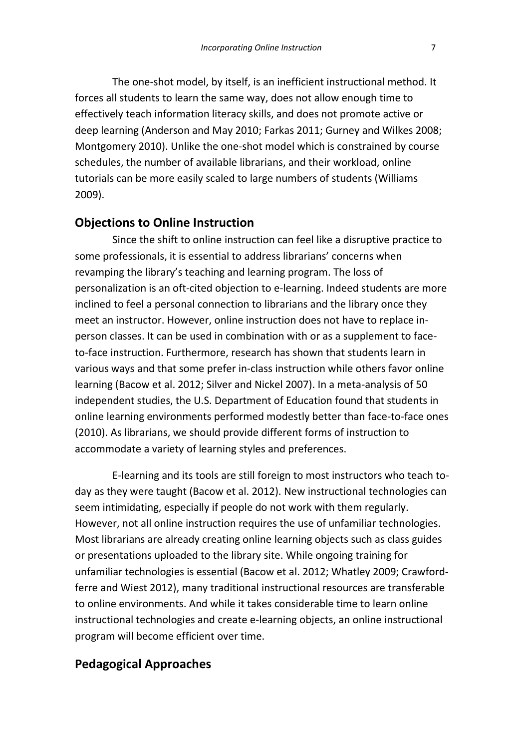The one-shot model, by itself, is an inefficient instructional method. It forces all students to learn the same way, does not allow enough time to effectively teach information literacy skills, and does not promote active or deep learning (Anderson and May 2010; Farkas 2011; Gurney and Wilkes 2008; Montgomery 2010). Unlike the one-shot model which is constrained by course schedules, the number of available librarians, and their workload, online tutorials can be more easily scaled to large numbers of students (Williams 2009).

# **Objections to Online Instruction**

Since the shift to online instruction can feel like a disruptive practice to some professionals, it is essential to address librarians' concerns when revamping the library's teaching and learning program. The loss of personalization is an oft-cited objection to e-learning. Indeed students are more inclined to feel a personal connection to librarians and the library once they meet an instructor. However, online instruction does not have to replace inperson classes. It can be used in combination with or as a supplement to faceto-face instruction. Furthermore, research has shown that students learn in various ways and that some prefer in-class instruction while others favor online learning (Bacow et al. 2012; Silver and Nickel 2007). In a meta-analysis of 50 independent studies, the U.S. Department of Education found that students in online learning environments performed modestly better than face-to-face ones (2010). As librarians, we should provide different forms of instruction to accommodate a variety of learning styles and preferences.

E-learning and its tools are still foreign to most instructors who teach today as they were taught (Bacow et al. 2012). New instructional technologies can seem intimidating, especially if people do not work with them regularly. However, not all online instruction requires the use of unfamiliar technologies. Most librarians are already creating online learning objects such as class guides or presentations uploaded to the library site. While ongoing training for unfamiliar technologies is essential (Bacow et al. 2012; Whatley 2009; Crawfordferre and Wiest 2012), many traditional instructional resources are transferable to online environments. And while it takes considerable time to learn online instructional technologies and create e-learning objects, an online instructional program will become efficient over time.

# **Pedagogical Approaches**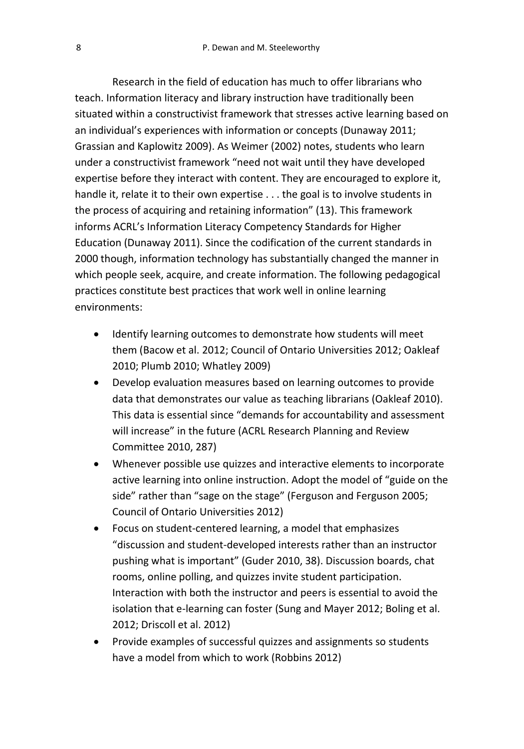Research in the field of education has much to offer librarians who teach. Information literacy and library instruction have traditionally been situated within a constructivist framework that stresses active learning based on an individual's experiences with information or concepts (Dunaway 2011; Grassian and Kaplowitz 2009). As Weimer (2002) notes, students who learn under a constructivist framework "need not wait until they have developed expertise before they interact with content. They are encouraged to explore it, handle it, relate it to their own expertise . . . the goal is to involve students in the process of acquiring and retaining information" (13). This framework informs ACRL's Information Literacy Competency Standards for Higher Education (Dunaway 2011). Since the codification of the current standards in 2000 though, information technology has substantially changed the manner in which people seek, acquire, and create information. The following pedagogical practices constitute best practices that work well in online learning environments:

- Identify learning outcomes to demonstrate how students will meet them (Bacow et al. 2012; Council of Ontario Universities 2012; Oakleaf 2010; Plumb 2010; Whatley 2009)
- Develop evaluation measures based on learning outcomes to provide data that demonstrates our value as teaching librarians (Oakleaf 2010). This data is essential since "demands for accountability and assessment will increase" in the future (ACRL Research Planning and Review Committee 2010, 287)
- Whenever possible use quizzes and interactive elements to incorporate active learning into online instruction. Adopt the model of "guide on the side" rather than "sage on the stage" (Ferguson and Ferguson 2005; Council of Ontario Universities 2012)
- Focus on student-centered learning, a model that emphasizes "discussion and student-developed interests rather than an instructor pushing what is important" (Guder 2010, 38). Discussion boards, chat rooms, online polling, and quizzes invite student participation. Interaction with both the instructor and peers is essential to avoid the isolation that e-learning can foster (Sung and Mayer 2012; Boling et al. 2012; Driscoll et al. 2012)
- Provide examples of successful quizzes and assignments so students have a model from which to work (Robbins 2012)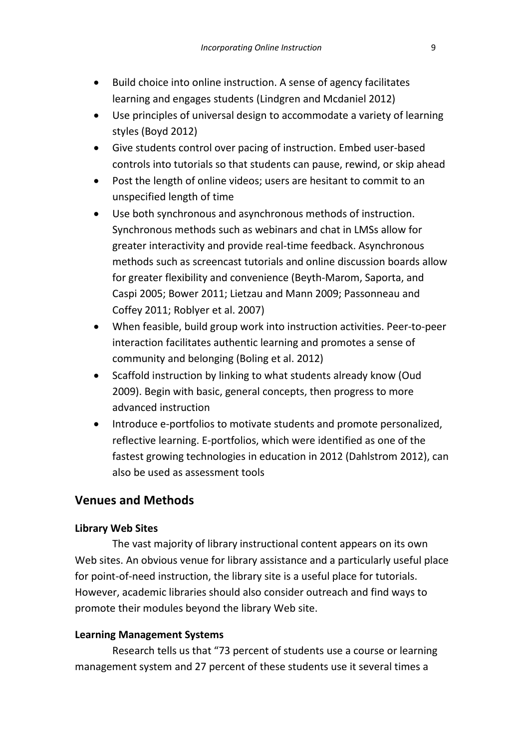- Build choice into online instruction. A sense of agency facilitates learning and engages students (Lindgren and Mcdaniel 2012)
- Use principles of universal design to accommodate a variety of learning styles (Boyd 2012)
- Give students control over pacing of instruction. Embed user-based controls into tutorials so that students can pause, rewind, or skip ahead
- Post the length of online videos; users are hesitant to commit to an unspecified length of time
- Use both synchronous and asynchronous methods of instruction. Synchronous methods such as webinars and chat in LMSs allow for greater interactivity and provide real-time feedback. Asynchronous methods such as screencast tutorials and online discussion boards allow for greater flexibility and convenience (Beyth-Marom, Saporta, and Caspi 2005; Bower 2011; Lietzau and Mann 2009; Passonneau and Coffey 2011; Roblyer et al. 2007)
- When feasible, build group work into instruction activities. Peer-to-peer interaction facilitates authentic learning and promotes a sense of community and belonging (Boling et al. 2012)
- Scaffold instruction by linking to what students already know (Oud 2009). Begin with basic, general concepts, then progress to more advanced instruction
- Introduce e-portfolios to motivate students and promote personalized, reflective learning. E-portfolios, which were identified as one of the fastest growing technologies in education in 2012 (Dahlstrom 2012), can also be used as assessment tools

# **Venues and Methods**

# **Library Web Sites**

The vast majority of library instructional content appears on its own Web sites. An obvious venue for library assistance and a particularly useful place for point-of-need instruction, the library site is a useful place for tutorials. However, academic libraries should also consider outreach and find ways to promote their modules beyond the library Web site.

# **Learning Management Systems**

Research tells us that "73 percent of students use a course or learning management system and 27 percent of these students use it several times a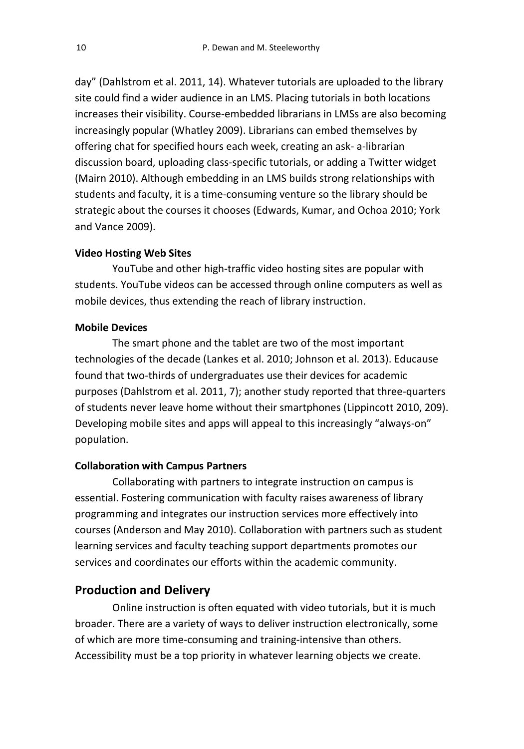day" (Dahlstrom et al. 2011, 14). Whatever tutorials are uploaded to the library site could find a wider audience in an LMS. Placing tutorials in both locations increases their visibility. Course-embedded librarians in LMSs are also becoming increasingly popular (Whatley 2009). Librarians can embed themselves by offering chat for specified hours each week, creating an ask- a-librarian discussion board, uploading class-specific tutorials, or adding a Twitter widget (Mairn 2010). Although embedding in an LMS builds strong relationships with students and faculty, it is a time-consuming venture so the library should be strategic about the courses it chooses (Edwards, Kumar, and Ochoa 2010; York and Vance 2009).

#### **Video Hosting Web Sites**

YouTube and other high-traffic video hosting sites are popular with students. YouTube videos can be accessed through online computers as well as mobile devices, thus extending the reach of library instruction.

#### **Mobile Devices**

The smart phone and the tablet are two of the most important technologies of the decade (Lankes et al. 2010; Johnson et al. 2013). Educause found that two-thirds of undergraduates use their devices for academic purposes (Dahlstrom et al. 2011, 7); another study reported that three-quarters of students never leave home without their smartphones (Lippincott 2010, 209). Developing mobile sites and apps will appeal to this increasingly "always-on" population.

## **Collaboration with Campus Partners**

Collaborating with partners to integrate instruction on campus is essential. Fostering communication with faculty raises awareness of library programming and integrates our instruction services more effectively into courses (Anderson and May 2010). Collaboration with partners such as student learning services and faculty teaching support departments promotes our services and coordinates our efforts within the academic community.

# **Production and Delivery**

Online instruction is often equated with video tutorials, but it is much broader. There are a variety of ways to deliver instruction electronically, some of which are more time-consuming and training-intensive than others. Accessibility must be a top priority in whatever learning objects we create.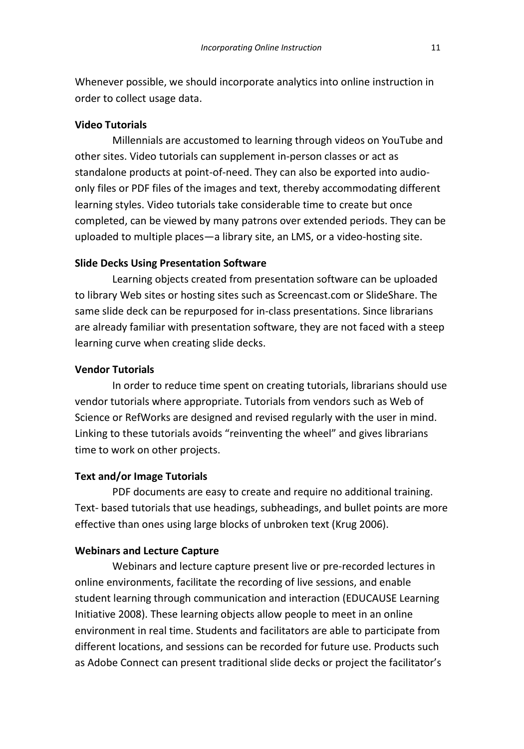Whenever possible, we should incorporate analytics into online instruction in order to collect usage data.

#### **Video Tutorials**

Millennials are accustomed to learning through videos on YouTube and other sites. Video tutorials can supplement in-person classes or act as standalone products at point-of-need. They can also be exported into audioonly files or PDF files of the images and text, thereby accommodating different learning styles. Video tutorials take considerable time to create but once completed, can be viewed by many patrons over extended periods. They can be uploaded to multiple places—a library site, an LMS, or a video-hosting site.

#### **Slide Decks Using Presentation Software**

Learning objects created from presentation software can be uploaded to library Web sites or hosting sites such as Screencast.com or SlideShare. The same slide deck can be repurposed for in-class presentations. Since librarians are already familiar with presentation software, they are not faced with a steep learning curve when creating slide decks.

#### **Vendor Tutorials**

In order to reduce time spent on creating tutorials, librarians should use vendor tutorials where appropriate. Tutorials from vendors such as Web of Science or RefWorks are designed and revised regularly with the user in mind. Linking to these tutorials avoids "reinventing the wheel" and gives librarians time to work on other projects.

## **Text and/or Image Tutorials**

PDF documents are easy to create and require no additional training. Text- based tutorials that use headings, subheadings, and bullet points are more effective than ones using large blocks of unbroken text (Krug 2006).

#### **Webinars and Lecture Capture**

Webinars and lecture capture present live or pre-recorded lectures in online environments, facilitate the recording of live sessions, and enable student learning through communication and interaction (EDUCAUSE Learning Initiative 2008). These learning objects allow people to meet in an online environment in real time. Students and facilitators are able to participate from different locations, and sessions can be recorded for future use. Products such as Adobe Connect can present traditional slide decks or project the facilitator's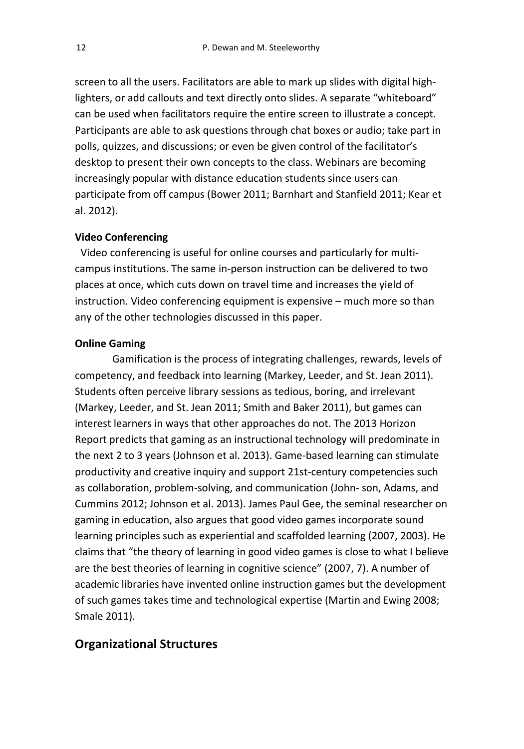screen to all the users. Facilitators are able to mark up slides with digital highlighters, or add callouts and text directly onto slides. A separate "whiteboard" can be used when facilitators require the entire screen to illustrate a concept. Participants are able to ask questions through chat boxes or audio; take part in polls, quizzes, and discussions; or even be given control of the facilitator's desktop to present their own concepts to the class. Webinars are becoming increasingly popular with distance education students since users can participate from off campus (Bower 2011; Barnhart and Stanfield 2011; Kear et al. 2012).

#### **Video Conferencing**

Video conferencing is useful for online courses and particularly for multicampus institutions. The same in-person instruction can be delivered to two places at once, which cuts down on travel time and increases the yield of instruction. Video conferencing equipment is expensive – much more so than any of the other technologies discussed in this paper.

#### **Online Gaming**

Gamification is the process of integrating challenges, rewards, levels of competency, and feedback into learning (Markey, Leeder, and St. Jean 2011). Students often perceive library sessions as tedious, boring, and irrelevant (Markey, Leeder, and St. Jean 2011; Smith and Baker 2011), but games can interest learners in ways that other approaches do not. The 2013 Horizon Report predicts that gaming as an instructional technology will predominate in the next 2 to 3 years (Johnson et al. 2013). Game-based learning can stimulate productivity and creative inquiry and support 21st-century competencies such as collaboration, problem-solving, and communication (John- son, Adams, and Cummins 2012; Johnson et al. 2013). James Paul Gee, the seminal researcher on gaming in education, also argues that good video games incorporate sound learning principles such as experiential and scaffolded learning (2007, 2003). He claims that "the theory of learning in good video games is close to what I believe are the best theories of learning in cognitive science" (2007, 7). A number of academic libraries have invented online instruction games but the development of such games takes time and technological expertise (Martin and Ewing 2008; Smale 2011).

# **Organizational Structures**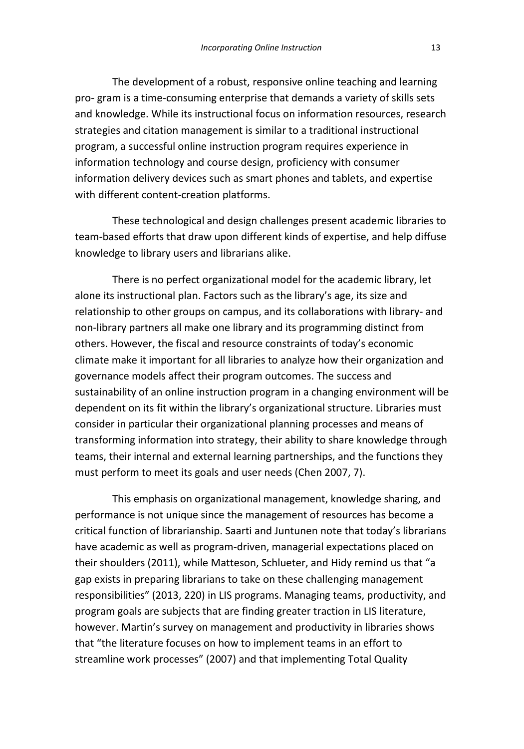The development of a robust, responsive online teaching and learning pro- gram is a time-consuming enterprise that demands a variety of skills sets and knowledge. While its instructional focus on information resources, research strategies and citation management is similar to a traditional instructional program, a successful online instruction program requires experience in information technology and course design, proficiency with consumer information delivery devices such as smart phones and tablets, and expertise with different content-creation platforms.

These technological and design challenges present academic libraries to team-based efforts that draw upon different kinds of expertise, and help diffuse knowledge to library users and librarians alike.

There is no perfect organizational model for the academic library, let alone its instructional plan. Factors such as the library's age, its size and relationship to other groups on campus, and its collaborations with library- and non-library partners all make one library and its programming distinct from others. However, the fiscal and resource constraints of today's economic climate make it important for all libraries to analyze how their organization and governance models affect their program outcomes. The success and sustainability of an online instruction program in a changing environment will be dependent on its fit within the library's organizational structure. Libraries must consider in particular their organizational planning processes and means of transforming information into strategy, their ability to share knowledge through teams, their internal and external learning partnerships, and the functions they must perform to meet its goals and user needs (Chen 2007, 7).

This emphasis on organizational management, knowledge sharing, and performance is not unique since the management of resources has become a critical function of librarianship. Saarti and Juntunen note that today's librarians have academic as well as program-driven, managerial expectations placed on their shoulders (2011), while Matteson, Schlueter, and Hidy remind us that "a gap exists in preparing librarians to take on these challenging management responsibilities" (2013, 220) in LIS programs. Managing teams, productivity, and program goals are subjects that are finding greater traction in LIS literature, however. Martin's survey on management and productivity in libraries shows that "the literature focuses on how to implement teams in an effort to streamline work processes" (2007) and that implementing Total Quality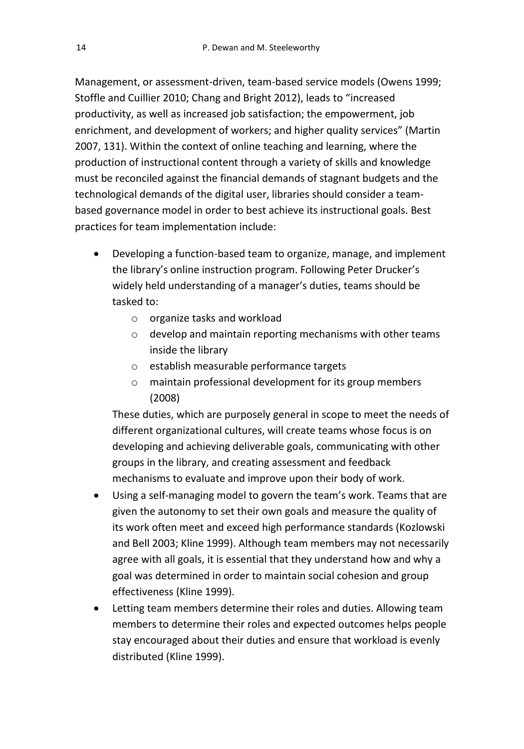Management, or assessment-driven, team-based service models (Owens 1999; Stoffle and Cuillier 2010; Chang and Bright 2012), leads to "increased productivity, as well as increased job satisfaction; the empowerment, job enrichment, and development of workers; and higher quality services" (Martin 2007, 131). Within the context of online teaching and learning, where the production of instructional content through a variety of skills and knowledge must be reconciled against the financial demands of stagnant budgets and the technological demands of the digital user, libraries should consider a teambased governance model in order to best achieve its instructional goals. Best practices for team implementation include:

- Developing a function-based team to organize, manage, and implement the library's online instruction program. Following Peter Drucker's widely held understanding of a manager's duties, teams should be tasked to:
	- o organize tasks and workload
	- o develop and maintain reporting mechanisms with other teams inside the library
	- o establish measurable performance targets
	- o maintain professional development for its group members (2008)

These duties, which are purposely general in scope to meet the needs of different organizational cultures, will create teams whose focus is on developing and achieving deliverable goals, communicating with other groups in the library, and creating assessment and feedback mechanisms to evaluate and improve upon their body of work.

- Using a self-managing model to govern the team's work. Teams that are given the autonomy to set their own goals and measure the quality of its work often meet and exceed high performance standards (Kozlowski and Bell 2003; Kline 1999). Although team members may not necessarily agree with all goals, it is essential that they understand how and why a goal was determined in order to maintain social cohesion and group effectiveness (Kline 1999).
- Letting team members determine their roles and duties. Allowing team members to determine their roles and expected outcomes helps people stay encouraged about their duties and ensure that workload is evenly distributed (Kline 1999).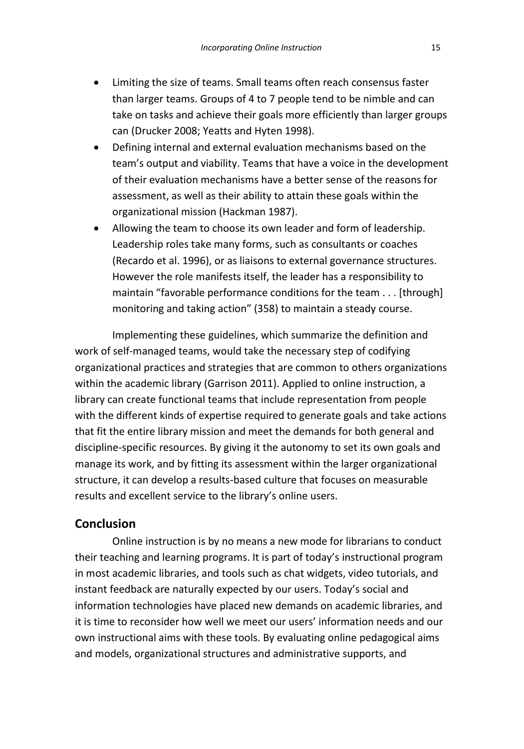- Limiting the size of teams. Small teams often reach consensus faster than larger teams. Groups of 4 to 7 people tend to be nimble and can take on tasks and achieve their goals more efficiently than larger groups can (Drucker 2008; Yeatts and Hyten 1998).
- Defining internal and external evaluation mechanisms based on the team's output and viability. Teams that have a voice in the development of their evaluation mechanisms have a better sense of the reasons for assessment, as well as their ability to attain these goals within the organizational mission (Hackman 1987).
- Allowing the team to choose its own leader and form of leadership. Leadership roles take many forms, such as consultants or coaches (Recardo et al. 1996), or as liaisons to external governance structures. However the role manifests itself, the leader has a responsibility to maintain "favorable performance conditions for the team . . . [through] monitoring and taking action" (358) to maintain a steady course.

Implementing these guidelines, which summarize the definition and work of self-managed teams, would take the necessary step of codifying organizational practices and strategies that are common to others organizations within the academic library (Garrison 2011). Applied to online instruction, a library can create functional teams that include representation from people with the different kinds of expertise required to generate goals and take actions that fit the entire library mission and meet the demands for both general and discipline-specific resources. By giving it the autonomy to set its own goals and manage its work, and by fitting its assessment within the larger organizational structure, it can develop a results-based culture that focuses on measurable results and excellent service to the library's online users.

# **Conclusion**

Online instruction is by no means a new mode for librarians to conduct their teaching and learning programs. It is part of today's instructional program in most academic libraries, and tools such as chat widgets, video tutorials, and instant feedback are naturally expected by our users. Today's social and information technologies have placed new demands on academic libraries, and it is time to reconsider how well we meet our users' information needs and our own instructional aims with these tools. By evaluating online pedagogical aims and models, organizational structures and administrative supports, and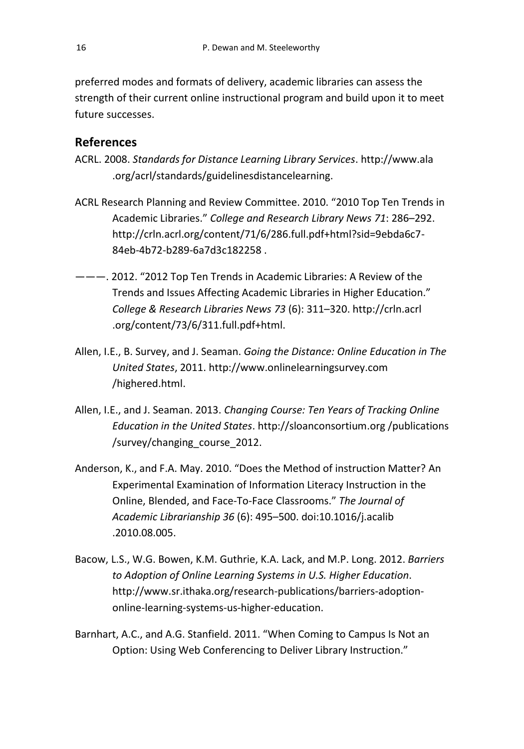preferred modes and formats of delivery, academic libraries can assess the strength of their current online instructional program and build upon it to meet future successes.

# **References**

- ACRL. 2008. *Standards for Distance Learning Library Services*. http://www.ala .org/acrl/standards/guidelinesdistancelearning.
- ACRL Research Planning and Review Committee. 2010. "2010 Top Ten Trends in Academic Libraries." *College and Research Library News 71*: 286–292. http://crln.acrl.org/content/71/6/286.full.pdf+html?sid=9ebda6c7- 84eb-4b72-b289-6a7d3c182258 .
- ———. 2012. "2012 Top Ten Trends in Academic Libraries: A Review of the Trends and Issues Affecting Academic Libraries in Higher Education." *College & Research Libraries News 73* (6): 311–320. http://crln.acrl .org/content/73/6/311.full.pdf+html.
- Allen, I.E., B. Survey, and J. Seaman. *Going the Distance: Online Education in The United States*, 2011. http://www.onlinelearningsurvey.com /highered.html.
- Allen, I.E., and J. Seaman. 2013. *Changing Course: Ten Years of Tracking Online Education in the United States*. http://sloanconsortium.org /publications /survey/changing\_course\_2012.
- Anderson, K., and F.A. May. 2010. "Does the Method of instruction Matter? An Experimental Examination of Information Literacy Instruction in the Online, Blended, and Face-To-Face Classrooms." *The Journal of Academic Librarianship 36* (6): 495–500. doi:10.1016/j.acalib .2010.08.005.
- Bacow, L.S., W.G. Bowen, K.M. Guthrie, K.A. Lack, and M.P. Long. 2012. *Barriers to Adoption of Online Learning Systems in U.S. Higher Education*. http://www.sr.ithaka.org/research-publications/barriers-adoptiononline-learning-systems-us-higher-education.
- Barnhart, A.C., and A.G. Stanfield. 2011. "When Coming to Campus Is Not an Option: Using Web Conferencing to Deliver Library Instruction."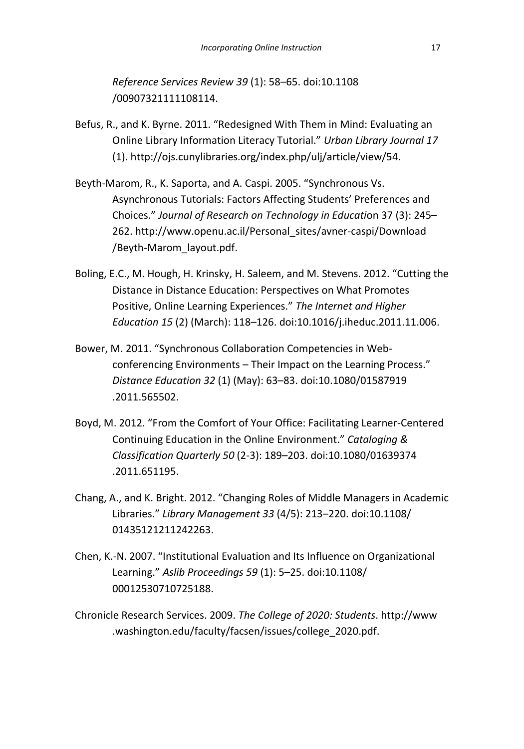*Reference Services Review 39* (1): 58–65. doi:10.1108 /00907321111108114.

- Befus, R., and K. Byrne. 2011. "Redesigned With Them in Mind: Evaluating an Online Library Information Literacy Tutorial." *Urban Library Journal 17* (1). http://ojs.cunylibraries.org/index.php/ulj/article/view/54.
- Beyth-Marom, R., K. Saporta, and A. Caspi. 2005. "Synchronous Vs. Asynchronous Tutorials: Factors Affecting Students' Preferences and Choices." *Journal of Research on Technology in Educati*on 37 (3): 245– 262. http://www.openu.ac.il/Personal\_sites/avner-caspi/Download /Beyth-Marom\_layout.pdf.
- Boling, E.C., M. Hough, H. Krinsky, H. Saleem, and M. Stevens. 2012. "Cutting the Distance in Distance Education: Perspectives on What Promotes Positive, Online Learning Experiences." *The Internet and Higher Education 15* (2) (March): 118–126. doi:10.1016/j.iheduc.2011.11.006.
- Bower, M. 2011. "Synchronous Collaboration Competencies in Webconferencing Environments – Their Impact on the Learning Process." *Distance Education 32* (1) (May): 63–83. doi:10.1080/01587919 .2011.565502.
- Boyd, M. 2012. "From the Comfort of Your Office: Facilitating Learner-Centered Continuing Education in the Online Environment." *Cataloging & Classification Quarterly 50* (2-3): 189–203. doi:10.1080/01639374 .2011.651195.
- Chang, A., and K. Bright. 2012. "Changing Roles of Middle Managers in Academic Libraries." *Library Management 33* (4/5): 213–220. doi:10.1108/ 01435121211242263.
- Chen, K.-N. 2007. "Institutional Evaluation and Its Influence on Organizational Learning." *Aslib Proceedings 59* (1): 5–25. doi:10.1108/ 00012530710725188.
- Chronicle Research Services. 2009. *The College of 2020: Students*. http://www .washington.edu/faculty/facsen/issues/college\_2020.pdf.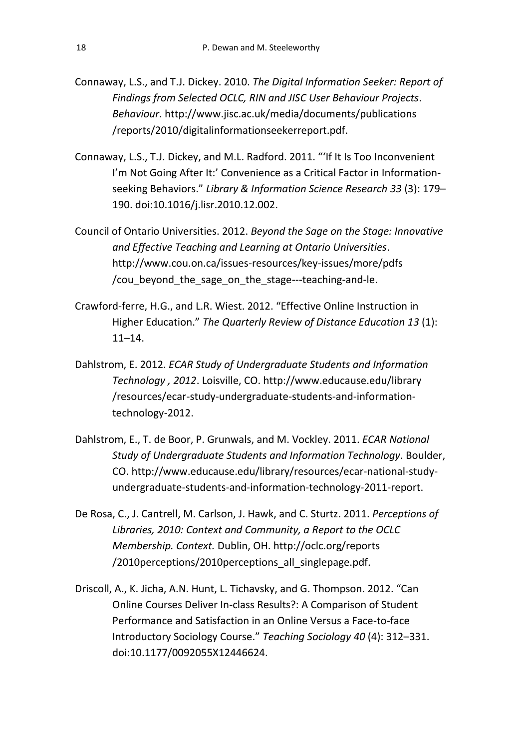- Connaway, L.S., and T.J. Dickey. 2010. *The Digital Information Seeker: Report of Findings from Selected OCLC, RIN and JISC User Behaviour Projects*. *Behaviour*. http://www.jisc.ac.uk/media/documents/publications /reports/2010/digitalinformationseekerreport.pdf.
- Connaway, L.S., T.J. Dickey, and M.L. Radford. 2011. "'If It Is Too Inconvenient I'm Not Going After It:' Convenience as a Critical Factor in Informationseeking Behaviors." *Library & Information Science Research 33* (3): 179– 190. doi:10.1016/j.lisr.2010.12.002.
- Council of Ontario Universities. 2012. *Beyond the Sage on the Stage: Innovative and Effective Teaching and Learning at Ontario Universities*. http://www.cou.on.ca/issues-resources/key-issues/more/pdfs /cou\_beyond\_the\_sage\_on\_the\_stage---teaching-and-le.
- Crawford-ferre, H.G., and L.R. Wiest. 2012. "Effective Online Instruction in Higher Education." *The Quarterly Review of Distance Education 13* (1):  $11 - 14$ .
- Dahlstrom, E. 2012. *ECAR Study of Undergraduate Students and Information Technology , 2012*. Loisville, CO. http://www.educause.edu/library /resources/ecar-study-undergraduate-students-and-informationtechnology-2012.
- Dahlstrom, E., T. de Boor, P. Grunwals, and M. Vockley. 2011. *ECAR National Study of Undergraduate Students and Information Technology*. Boulder, CO. http://www.educause.edu/library/resources/ecar-national-studyundergraduate-students-and-information-technology-2011-report.
- De Rosa, C., J. Cantrell, M. Carlson, J. Hawk, and C. Sturtz. 2011. *Perceptions of Libraries, 2010: Context and Community, a Report to the OCLC Membership. Context.* Dublin, OH. http://oclc.org/reports /2010perceptions/2010perceptions\_all\_singlepage.pdf.
- Driscoll, A., K. Jicha, A.N. Hunt, L. Tichavsky, and G. Thompson. 2012. "Can Online Courses Deliver In-class Results?: A Comparison of Student Performance and Satisfaction in an Online Versus a Face-to-face Introductory Sociology Course." *Teaching Sociology 40* (4): 312–331. doi:10.1177/0092055X12446624.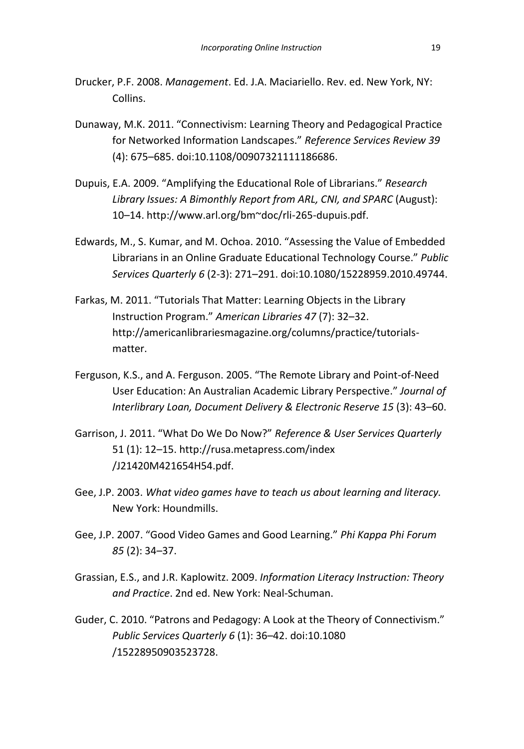- Drucker, P.F. 2008. *Management*. Ed. J.A. Maciariello. Rev. ed. New York, NY: Collins.
- Dunaway, M.K. 2011. "Connectivism: Learning Theory and Pedagogical Practice for Networked Information Landscapes." *Reference Services Review 39* (4): 675–685. doi:10.1108/00907321111186686.
- Dupuis, E.A. 2009. "Amplifying the Educational Role of Librarians." *Research Library Issues: A Bimonthly Report from ARL, CNI, and SPARC* (August): 10–14. http://www.arl.org/bm~doc/rli-265-dupuis.pdf.
- Edwards, M., S. Kumar, and M. Ochoa. 2010. "Assessing the Value of Embedded Librarians in an Online Graduate Educational Technology Course." *Public Services Quarterly 6* (2-3): 271–291. doi:10.1080/15228959.2010.49744.
- Farkas, M. 2011. "Tutorials That Matter: Learning Objects in the Library Instruction Program." *American Libraries 47* (7): 32–32. http://americanlibrariesmagazine.org/columns/practice/tutorialsmatter.
- Ferguson, K.S., and A. Ferguson. 2005. "The Remote Library and Point-of-Need User Education: An Australian Academic Library Perspective." *Journal of Interlibrary Loan, Document Delivery & Electronic Reserve 15* (3): 43–60.
- Garrison, J. 2011. "What Do We Do Now?" *Reference & User Services Quarterly* 51 (1): 12–15. http://rusa.metapress.com/index /J21420M421654H54.pdf.
- Gee, J.P. 2003. *What video games have to teach us about learning and literacy.*  New York: Houndmills.
- Gee, J.P. 2007. "Good Video Games and Good Learning." *Phi Kappa Phi Forum 85* (2): 34–37.
- Grassian, E.S., and J.R. Kaplowitz. 2009. *Information Literacy Instruction: Theory and Practice*. 2nd ed. New York: Neal-Schuman.
- Guder, C. 2010. "Patrons and Pedagogy: A Look at the Theory of Connectivism." *Public Services Quarterly 6* (1): 36–42. doi:10.1080 /15228950903523728.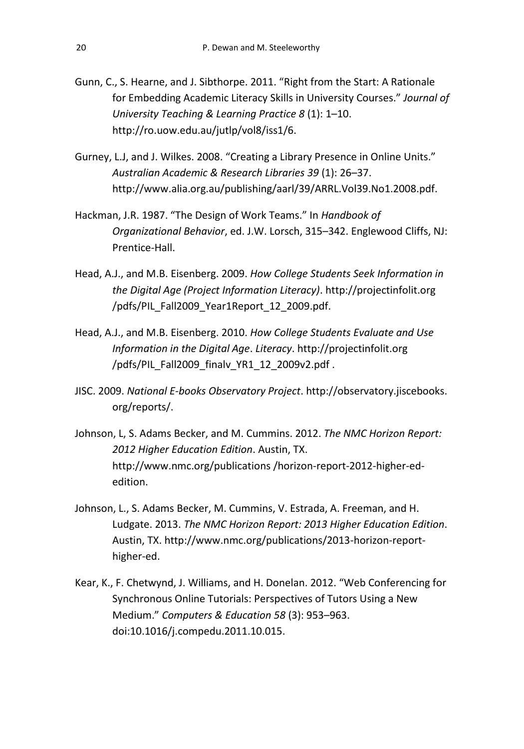- Gunn, C., S. Hearne, and J. Sibthorpe. 2011. "Right from the Start: A Rationale for Embedding Academic Literacy Skills in University Courses." *Journal of University Teaching & Learning Practice 8* (1): 1–10. http://ro.uow.edu.au/jutlp/vol8/iss1/6.
- Gurney, L.J, and J. Wilkes. 2008. "Creating a Library Presence in Online Units." *Australian Academic & Research Libraries 39* (1): 26–37. http://www.alia.org.au/publishing/aarl/39/ARRL.Vol39.No1.2008.pdf.
- Hackman, J.R. 1987. "The Design of Work Teams." In *Handbook of Organizational Behavior*, ed. J.W. Lorsch, 315–342. Englewood Cliffs, NJ: Prentice-Hall.
- Head, A.J., and M.B. Eisenberg. 2009. *How College Students Seek Information in the Digital Age (Project Information Literacy)*. http://projectinfolit.org /pdfs/PIL\_Fall2009\_Year1Report\_12\_2009.pdf.
- Head, A.J., and M.B. Eisenberg. 2010. *How College Students Evaluate and Use Information in the Digital Age*. *Literacy*. http://projectinfolit.org /pdfs/PIL\_Fall2009\_finalv\_YR1\_12\_2009v2.pdf .
- JISC. 2009. *National E-books Observatory Project*. http://observatory.jiscebooks. org/reports/.
- Johnson, L, S. Adams Becker, and M. Cummins. 2012. *The NMC Horizon Report: 2012 Higher Education Edition*. Austin, TX. http://www.nmc.org/publications /horizon-report-2012-higher-ededition.
- Johnson, L., S. Adams Becker, M. Cummins, V. Estrada, A. Freeman, and H. Ludgate. 2013. *The NMC Horizon Report: 2013 Higher Education Edition*. Austin, TX. http://www.nmc.org/publications/2013-horizon-reporthigher-ed.
- Kear, K., F. Chetwynd, J. Williams, and H. Donelan. 2012. "Web Conferencing for Synchronous Online Tutorials: Perspectives of Tutors Using a New Medium." *Computers & Education 58* (3): 953–963. doi:10.1016/j.compedu.2011.10.015.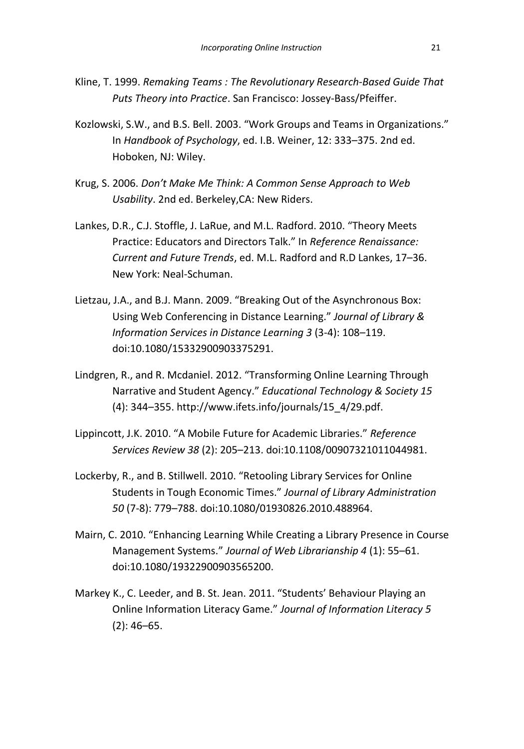- Kline, T. 1999. *Remaking Teams : The Revolutionary Research-Based Guide That Puts Theory into Practice*. San Francisco: Jossey-Bass/Pfeiffer.
- Kozlowski, S.W., and B.S. Bell. 2003. "Work Groups and Teams in Organizations." In *Handbook of Psychology*, ed. I.B. Weiner, 12: 333–375. 2nd ed. Hoboken, NJ: Wiley.
- Krug, S. 2006. *Don't Make Me Think: A Common Sense Approach to Web Usability*. 2nd ed. Berkeley,CA: New Riders.
- Lankes, D.R., C.J. Stoffle, J. LaRue, and M.L. Radford. 2010. "Theory Meets Practice: Educators and Directors Talk." In *Reference Renaissance: Current and Future Trends*, ed. M.L. Radford and R.D Lankes, 17–36. New York: Neal-Schuman.
- Lietzau, J.A., and B.J. Mann. 2009. "Breaking Out of the Asynchronous Box: Using Web Conferencing in Distance Learning." *Journal of Library & Information Services in Distance Learning 3* (3-4): 108–119. doi:10.1080/15332900903375291.
- Lindgren, R., and R. Mcdaniel. 2012. "Transforming Online Learning Through Narrative and Student Agency." *Educational Technology & Society 15* (4): 344–355. http://www.ifets.info/journals/15\_4/29.pdf.
- Lippincott, J.K. 2010. "A Mobile Future for Academic Libraries." *Reference Services Review 38* (2): 205–213. doi:10.1108/00907321011044981.
- Lockerby, R., and B. Stillwell. 2010. "Retooling Library Services for Online Students in Tough Economic Times." *Journal of Library Administration 50* (7-8): 779–788. doi:10.1080/01930826.2010.488964.
- Mairn, C. 2010. "Enhancing Learning While Creating a Library Presence in Course Management Systems." *Journal of Web Librarianship 4* (1): 55–61. doi:10.1080/19322900903565200.
- Markey K., C. Leeder, and B. St. Jean. 2011. "Students' Behaviour Playing an Online Information Literacy Game." *Journal of Information Literacy 5*  $(2): 46 - 65.$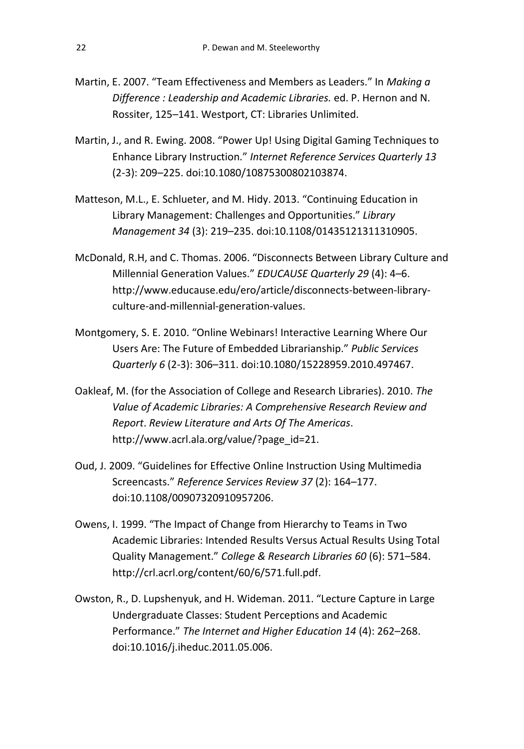- Martin, E. 2007. "Team Effectiveness and Members as Leaders." In *Making a Difference : Leadership and Academic Libraries.* ed. P. Hernon and N. Rossiter, 125–141. Westport, CT: Libraries Unlimited.
- Martin, J., and R. Ewing. 2008. "Power Up! Using Digital Gaming Techniques to Enhance Library Instruction." *Internet Reference Services Quarterly 13* (2-3): 209–225. doi:10.1080/10875300802103874.
- Matteson, M.L., E. Schlueter, and M. Hidy. 2013. "Continuing Education in Library Management: Challenges and Opportunities." *Library Management 34* (3): 219–235. doi:10.1108/01435121311310905.
- McDonald, R.H, and C. Thomas. 2006. "Disconnects Between Library Culture and Millennial Generation Values." *EDUCAUSE Quarterly 29* (4): 4–6. http://www.educause.edu/ero/article/disconnects-between-libraryculture-and-millennial-generation-values.
- Montgomery, S. E. 2010. "Online Webinars! Interactive Learning Where Our Users Are: The Future of Embedded Librarianship." *Public Services Quarterly 6* (2-3): 306–311. doi:10.1080/15228959.2010.497467.
- Oakleaf, M. (for the Association of College and Research Libraries). 2010. *The Value of Academic Libraries: A Comprehensive Research Review and Report*. *Review Literature and Arts Of The Americas*. http://www.acrl.ala.org/value/?page\_id=21.
- Oud, J. 2009. "Guidelines for Effective Online Instruction Using Multimedia Screencasts." *Reference Services Review 37* (2): 164–177. doi:10.1108/00907320910957206.
- Owens, I. 1999. "The Impact of Change from Hierarchy to Teams in Two Academic Libraries: Intended Results Versus Actual Results Using Total Quality Management." *College & Research Libraries 60* (6): 571–584. http://crl.acrl.org/content/60/6/571.full.pdf.
- Owston, R., D. Lupshenyuk, and H. Wideman. 2011. "Lecture Capture in Large Undergraduate Classes: Student Perceptions and Academic Performance." *The Internet and Higher Education 14* (4): 262–268. doi:10.1016/j.iheduc.2011.05.006.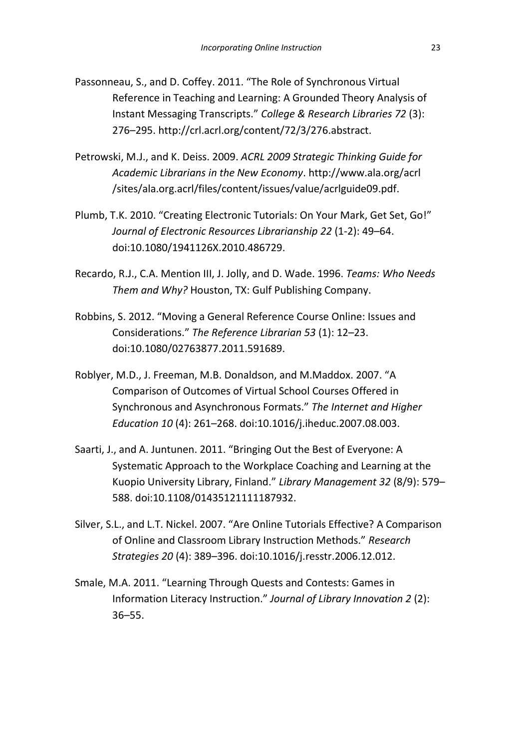- Passonneau, S., and D. Coffey. 2011. "The Role of Synchronous Virtual Reference in Teaching and Learning: A Grounded Theory Analysis of Instant Messaging Transcripts." *College & Research Libraries 72* (3): 276–295. http://crl.acrl.org/content/72/3/276.abstract.
- Petrowski, M.J., and K. Deiss. 2009. *ACRL 2009 Strategic Thinking Guide for Academic Librarians in the New Economy*. http://www.ala.org/acrl /sites/ala.org.acrl/files/content/issues/value/acrlguide09.pdf.
- Plumb, T.K. 2010. "Creating Electronic Tutorials: On Your Mark, Get Set, Go!" *Journal of Electronic Resources Librarianship 22* (1-2): 49–64. doi:10.1080/1941126X.2010.486729.
- Recardo, R.J., C.A. Mention III, J. Jolly, and D. Wade. 1996. *Teams: Who Needs Them and Why?* Houston, TX: Gulf Publishing Company.
- Robbins, S. 2012. "Moving a General Reference Course Online: Issues and Considerations." *The Reference Librarian 53* (1): 12–23. doi:10.1080/02763877.2011.591689.
- Roblyer, M.D., J. Freeman, M.B. Donaldson, and M.Maddox. 2007. "A Comparison of Outcomes of Virtual School Courses Offered in Synchronous and Asynchronous Formats." *The Internet and Higher Education 10* (4): 261–268. doi:10.1016/j.iheduc.2007.08.003.
- Saarti, J., and A. Juntunen. 2011. "Bringing Out the Best of Everyone: A Systematic Approach to the Workplace Coaching and Learning at the Kuopio University Library, Finland." *Library Management 32* (8/9): 579– 588. doi:10.1108/01435121111187932.
- Silver, S.L., and L.T. Nickel. 2007. "Are Online Tutorials Effective? A Comparison of Online and Classroom Library Instruction Methods." *Research Strategies 20* (4): 389–396. doi:10.1016/j.resstr.2006.12.012.
- Smale, M.A. 2011. "Learning Through Quests and Contests: Games in Information Literacy Instruction." *Journal of Library Innovation 2* (2): 36–55.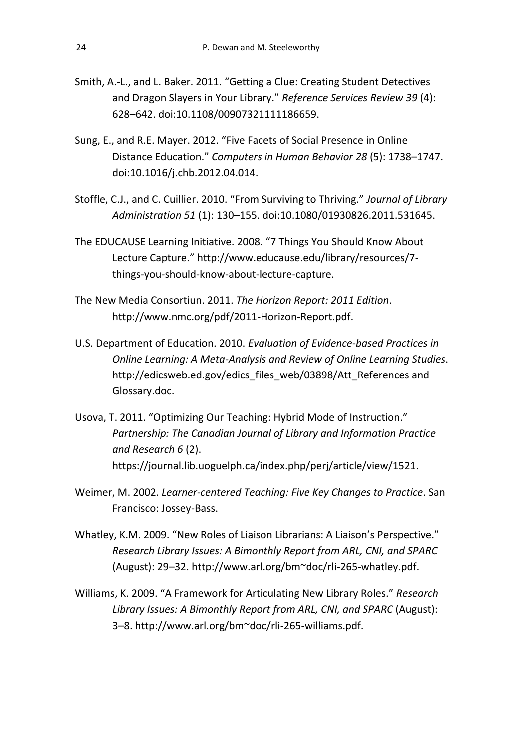- Smith, A.-L., and L. Baker. 2011. "Getting a Clue: Creating Student Detectives and Dragon Slayers in Your Library." *Reference Services Review 39* (4): 628–642. doi:10.1108/00907321111186659.
- Sung, E., and R.E. Mayer. 2012. "Five Facets of Social Presence in Online Distance Education." *Computers in Human Behavior 28* (5): 1738–1747. doi:10.1016/j.chb.2012.04.014.
- Stoffle, C.J., and C. Cuillier. 2010. "From Surviving to Thriving." *Journal of Library Administration 51* (1): 130–155. doi:10.1080/01930826.2011.531645.
- The EDUCAUSE Learning Initiative. 2008. "7 Things You Should Know About Lecture Capture." http://www.educause.edu/library/resources/7 things-you-should-know-about-lecture-capture.
- The New Media Consortiun. 2011. *The Horizon Report: 2011 Edition*. http://www.nmc.org/pdf/2011-Horizon-Report.pdf.
- U.S. Department of Education. 2010. *Evaluation of Evidence-based Practices in Online Learning: A Meta-Analysis and Review of Online Learning Studies*. http://edicsweb.ed.gov/edics\_files\_web/03898/Att\_References and Glossary.doc.
- Usova, T. 2011. "Optimizing Our Teaching: Hybrid Mode of Instruction." *Partnership: The Canadian Journal of Library and Information Practice and Research 6* (2). https://journal.lib.uoguelph.ca/index.php/perj/article/view/1521.
- Weimer, M. 2002. *Learner-centered Teaching: Five Key Changes to Practice*. San Francisco: Jossey-Bass.
- Whatley, K.M. 2009. "New Roles of Liaison Librarians: A Liaison's Perspective." *Research Library Issues: A Bimonthly Report from ARL, CNI, and SPARC* (August): 29–32. http://www.arl.org/bm~doc/rli-265-whatley.pdf.
- Williams, K. 2009. "A Framework for Articulating New Library Roles." *Research Library Issues: A Bimonthly Report from ARL, CNI, and SPARC* (August): 3–8. http://www.arl.org/bm~doc/rli-265-williams.pdf.